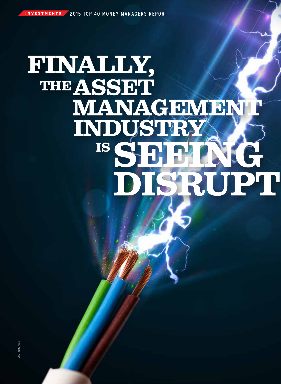# FINALLY, THEASSET MANAGEMER **INDUSTRY IS ST**  $\sum_{i=1}^{n}$ SRUPT

14 / *November 2015 • BenefitsCanada*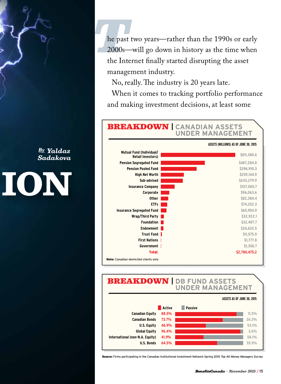he past two years—rather than the 1990s or early 2000s—will go down in history as the time when the Internet finally started disrupting the asset management industry.

No, really. The industry is 20 years late.

When it comes to tracking portfolio performance and making investment decisions, at least some

## BREAKDOWN **<sup>|</sup> CANADIAN ASSETS UNDER MANAGEMENT**



#### BREAKDOWN **| DB FUND ASSETS UNDER MANAGEMENT**



Source: Firms participating in the Canadian Institutional Investment Network Spring 2015 *Top 40 Money Managers Survey*

*By Yaldaz Sadakova*

# ION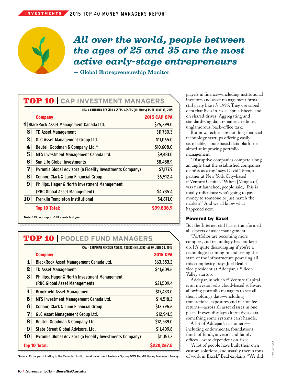## *All over the world, people between the ages of 25 and 35 are the most active early-stage entrepreneurs*

— Global Entrepreneurship Monitor

### TOP 10 **| CAP INVESTMENT MANAGERS**

|                 | CPA = CANADIAN PENSION ASSETS; ASSETS (MILLIONS) AS OF JUNE 30, 2015 |                     |
|-----------------|----------------------------------------------------------------------|---------------------|
|                 | <b>Company</b>                                                       | <b>2015 CAP CPA</b> |
|                 | 1 BlackRock Asset Management Canada Ltd.                             | \$25,399.0          |
| $\mathbf{z}$    | <b>TD Asset Management</b>                                           | \$11,730.3          |
| 3               | <b>GLC Asset Management Group Ltd.</b>                               | \$11,065.0          |
| $\vert 4 \vert$ | Beutel, Goodman & Company Ltd.*                                      | \$10,608.0          |
| 5 <sup>1</sup>  | MFS Investment Management Canada Ltd.                                | \$9,481.0           |
| 6 <sup>1</sup>  | Sun Life Global Investments                                          | \$8,458.9           |
| 7 <sup>1</sup>  | Pyramis Global Advisors (a Fidelity Investments Company)             | \$7,177.9           |
| $\bf{8}$        | Connor, Clark & Lunn Financial Group                                 | \$6,512.4           |
| 9 <sup>1</sup>  | Phillips, Hager & North Investment Management                        |                     |
|                 | (RBC Global Asset Management)                                        | \$4,735.4           |
| 10 <sup>1</sup> | Franklin Templeton Institutional                                     | \$4,671.0           |
|                 | <b>Top 10 Total:</b>                                                 | \$99,838.9          |
|                 | Note: * Did not report CAP assets last year                          |                     |

## TOP 10 **| POOLED FUND MANAGERS**

|                  | CPA = CANADIAN PENSION ASSETS; ASSETS (MILLIONS) AS OF JUNE 30, 2015 |                 |
|------------------|----------------------------------------------------------------------|-----------------|
|                  | <b>Company</b>                                                       | <b>2015 CPA</b> |
| 1                | BlackRock Asset Management Canada Ltd.                               | \$63,353.2      |
| 2                | <b>TD Asset Management</b>                                           | \$41,609.6      |
| 3                | <b>Phillips, Hager &amp; North Investment Management</b>             |                 |
|                  | (RBC Global Asset Management)                                        | \$21,509.4      |
| 4                | <b>Brookfield Asset Management</b>                                   | \$17,433.0      |
| 5 <sup>1</sup>   | MFS Investment Management Canada Ltd.                                | \$14,518.2      |
| 6                | Connor, Clark & Lunn Financial Group                                 | \$13,796.6      |
| $\boldsymbol{7}$ | GLC Asset Management Group Ltd.                                      | \$12,941.5      |
| $\bf{8}$         | Beutel, Goodman & Company Ltd.                                       | \$12,539.0      |
| 9                | State Street Global Advisors, Ltd.                                   | \$11,409.8      |
| 10               | Pyramis Global Advisors (a Fidelity Investments Company)             | \$11,157.2      |
|                  | Top 10 Total:                                                        | \$220.267.5     |

**Source:** Firms participating in the Canadian Institutional Investment Network Spring 2015 *Top 40 Money Managers Survey*

players in finance—including institutional investors and asset management firms still party like it's 1995. They use siloed data that lives in Excel spreadsheets and on shared drives. Aggregating and standardizing data remains a tedious, unglamorous, back-office task.

But now, techies are building financial technology startups offering easily searchable, cloud-based data platforms aimed at improving portfolio management.

"Disruptive companies compete along an angle that the established companies dismiss as a toy," says David Teten, a partner at New York City-based ff Venture Capital. "When [Vanguard] was first launched, people said, 'This is totally ridiculous: who's going to pay money to someone to just match the market?" And we all know what happened next.

#### Powered by Excel

But the Internet still hasn't transformed all aspects of asset management.

"Portfolios are becoming more complex, and technology has not kept up. It's quite discouraging if you're a technologist coming in and seeing the state of the infrastructure powering all this complexity," says Joel Beal, a vice-president at Addepar, a Silicon Valley startup.

Addepar, in which ff Venture Capital is an investor, sells cloud-based software, allowing portfolio managers to see all their holdings data—including transactions, exposures and net-of-fee returns—across all asset classes in one place. It even displays alternatives data, something some systems can't handle.

A lot of Addepar's customers including endowments, foundations, funds of funds, advisors and family offices—were dependent on Excel.

"A lot of people have built their own custom solutions, and usually there's tons of work in Excel," Beal explains. "We did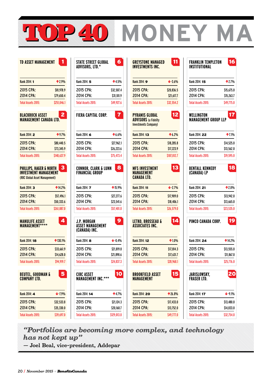

| <b>TD ASSET MANAGEMENT</b> |             |  |
|----------------------------|-------------|--|
| Rank 2014: 1               | $*2.9%$     |  |
| 2015 CPA:                  | \$81,978.9  |  |
| 2014 CPA:                  | \$79.650.4  |  |
| Total Assets 2015:         | \$251.046.1 |  |

#### **BLACKROCK ASSET** 2 **MANAGEMENT CANADA LTD.**

| Rank 2014: 2       | ↑9.7%       |
|--------------------|-------------|
| 2015 CPA:          | \$80,440.5  |
| 2014 CPA:          | \$73.345.9  |
| Total Assets 2015: | \$148,637.9 |

| PHILLIPS. HAGER & NORTH       | l 3 |
|-------------------------------|-----|
| <b>INVESTMENT MANAGEMENT</b>  |     |
| (RBC Global Asset Management) |     |

| Rank 2014: 3              | $*14.2%$                 |
|---------------------------|--------------------------|
| 2015 CPA:<br>2014 CPA:    | \$57,496.1<br>\$50,333.6 |
| <b>Total Assets 2015:</b> | \$261.087.0              |

| <b>MANULIFE ASSET</b><br><b>MANAGEMENT****</b> |  |
|------------------------------------------------|--|
|------------------------------------------------|--|

| Rank 2014: 18             | $\bigstar$ 130.1% |
|---------------------------|-------------------|
| 2015 CPA:                 | \$33,661.9        |
| 2014 CPA:                 | \$14,628.0        |
| <b>Total Assets 2015:</b> | \$94.919.7        |

## **BEUTEL, GOODMAN &** 5 **COMPANY LTD.**

| Rank 2014: 4       | $+7.9%$    |
|--------------------|------------|
| 2015 CPA:          | \$32,533.8 |
| 2014 CPA:          | \$35,330.0 |
| Total Assets 2015: | \$39,697.0 |

| <b>STATE STREET GLOBAL</b><br>ADVISORS, LTD.*    | 6               | <b>GREYSTONE MANAGED</b><br><b>INVESTMENTS INC.</b>                          | 11          |
|--------------------------------------------------|-----------------|------------------------------------------------------------------------------|-------------|
| Rank 2014: 5                                     | $*4.5%$         | Rank 2014: 9                                                                 | 43.6%       |
| 2015 CPA:                                        | \$32,507.4      | 2015 CPA:                                                                    | \$20,836.5  |
| 2014 CPA:                                        | \$31,101.9      | 2014 CPA:                                                                    | \$21,617.7  |
| <b>Total Assets 2015:</b>                        | \$49,927.6      | <b>Total Assets 2015:</b>                                                    | \$32,554.2  |
| FIERA CAPITAL CORP.                              | $\overline{7}$  | PYRAMIS GLOBAL<br><b>ADVISORS</b> (a Fidelity<br><b>Investments Company)</b> | 12          |
| Rank 2014: 6                                     | $*6.6%$         | Rank 2014: 13                                                                | $*6.2%$     |
| 2015 CPA:                                        | \$27,962.1      | 2015 CPA:                                                                    | \$18,285.8  |
| 2014 CPA:                                        | \$26,223.6      | 2014 CPA:                                                                    | \$17,223.9  |
| <b>Total Assets 2015:</b>                        | \$75,473.4      | <b>Total Assets 2015:</b>                                                    | \$107,012.7 |
| CONNOR, CLARK & LUNN<br>FINANCIAL GROUP          | 8               | <b>MFS INVESTMENT</b><br><b>MANAGEMENT</b><br>CANADA LTD.                    | 13          |
| Rank 2014: 7                                     | $*15.9%$        | Rank 2014: 11                                                                | 42.7%       |
| 2015 CPA:                                        | \$27,277.6      | 2015 CPA:                                                                    | \$17,909.0  |
| 2014 CPA:                                        | \$23,541.6      | 2014 CPA:                                                                    | \$18,406.1  |
| <b>Total Assets 2015:</b>                        | \$57,401.0      | <b>Total Assets 2015:</b>                                                    | \$26,579.0  |
| J.P. MORGAN<br>ASSET MANAGEMENT<br>(CANADA) INC. | 9               | <b>LETKO, BROSSEAU &amp;</b><br>ASSOCIATES INC.                              | 14          |
| Rank 2014: 8                                     | $\bigvee 0.4\%$ | Rank 2014: 12                                                                | $*1.0\%$    |
| 2015 CPA:                                        | \$21,819.8      | 2015 CPA:                                                                    | \$17,814.3  |
| 2014 CPA:                                        | \$21,898.6      | 2014 CPA:                                                                    | \$17,631.7  |
| <b>Total Assets 2015:</b>                        | \$24,837.3      | <b>Total Assets 2015:</b>                                                    | \$28,968.1  |
| <b>CIBC ASSET</b><br><b>MANAGEMENT INC.***</b>   | 10              | <b>BROOKFIELD ASSET</b><br>MANAGEMENT                                        | 15          |
| Rank 2014: 14                                    | $*4.7%$         | Rank 2014: 20                                                                | ↑ 26.8%     |

2015 CPA: \$21,124.3 2014 CPA: \$20,168.7 Total Assets 2015: \$129,013.0

| GREYSTONE MANAGED                                                            | 11          | FRAI               |
|------------------------------------------------------------------------------|-------------|--------------------|
| INVESTMENTS INC.                                                             |             | INST               |
| Rank 2014: <b>9</b>                                                          | 43.6%       | Rank               |
| 2015 CPA:                                                                    | \$20.836.5  | 201                |
| 2014 CPA:                                                                    | \$21,617.7  | 201                |
| Total Assets 2015:                                                           | \$32,554.2  | Total              |
| PYRAMIS GLOBAL<br><b>ADVISORS (a Fidelity</b><br><b>Investments Company)</b> | 12          | WEL<br>MAN         |
| Rank 2014: 13                                                                | $*6.2%$     | Rank               |
| 2015 CPA:                                                                    | \$18,285.8  | 201                |
| 2014 CPA:                                                                    | \$17,223.9  | 201                |
| Total Assets 2015:                                                           | \$107,012.7 | Total              |
| <b>MFS INVESTMENT</b><br><b>MANAGEMENT</b><br>CANADA LTD.                    | 13          | <b>BEN</b><br>(CAI |
| Rank 2014: 11                                                                | $4.7\%$     | Rank               |
| 2015 CPA:                                                                    | \$17,909.0  | 201                |
| 2014 CPA:                                                                    | \$18,406.1  | 201                |
| Total Assets 2015:                                                           | \$26.579.0  | Total              |
| <b>LETKO, BROSSEAU &amp;</b><br>ASSOCIATES INC.                              | 14          | <b>PIM</b>         |
| Rank 2014: 12                                                                | $*1.0%$     | Rank               |
| 2015 CPA:                                                                    | \$17,814.3  | 201                |
| 2014 CPA:                                                                    | \$17,631.7  | 201                |
| Total Assets 2015:                                                           | \$28,968.1  | Total              |
| BROOKFIELD ASSET<br>MANAGEMENT                                               | 15          | JARI<br><b>FRA</b> |

2015 CPA: \$17,433.0 2014 CPA: \$13,752.0 Total Assets 2015: \$49,777.0

**MONEY M** 

## **FRANKLIN TEMPLETON** 16 **ITUTIONAL** 2014: 15 **12.7%** 2015 CPA: \$15,675.0 4 CPA: \$15,263.7 Assets 2015: \$49,775.0 **WELLINGTON** 17 **MANAGEMENT GROUP LLP**

| Rank 2014: 22      | $*7.1%$    |
|--------------------|------------|
| 2015 CPA:          | \$14,525.0 |
| 2014 CPA:          | \$13.562.0 |
| Total Assets 2015: | \$19,595.0 |

| BENTALL KENNEDY<br>(CANADA) LP | 18         |
|--------------------------------|------------|
| Rank 2014: 21                  | $*2.0%$    |
| 2015 CPA:                      | \$13,942.0 |
| 2014 CPA:                      | \$13,665.0 |
| Total Assets 2015:             | \$23.535.0 |
| PIMCO CANADA CORP.             | 19         |

| Rank 2014: 24      | ↑14.2%     |
|--------------------|------------|
| 2015 CPA:          | \$13.555.0 |
| 2014 CPA:          | \$11.867.0 |
| Total Assets 2015: | \$25,776.0 |

| JARISLOWSKY,<br><b>FRASER LTD.</b> | ξZ         |
|------------------------------------|------------|
| Rank 2014: 17                      | $-9.1%$    |
| 2015 CPA:                          | \$13,480.0 |
| 2014 CPA:                          | \$14,833.0 |
| Total Assets 2015:                 | \$32.754.0 |

*"Portfolios are becoming more complex, and technology has not kept up"* 

— Joel Beal, vice-president, Addepar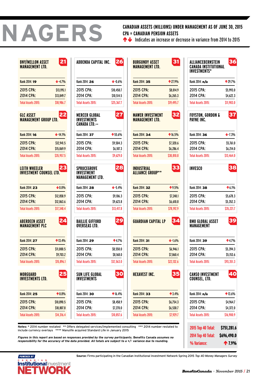# **NAGERS**

#### **CANADIAN ASSETS (MILLIONS) UNDER MANAGEMENT AS OF JUNE 30, 2015 CPA = CANADIAN PENSION ASSETS**

 $\bigcirc$  Indicates an increase or decrease in variance from 2014 to 2015

| BNY/MELLON ASSET<br><b>MANAGEMENT ITD.</b>       | 21         | A           |
|--------------------------------------------------|------------|-------------|
| Rank 2014: 19                                    | 4.7%       | R           |
| 2015 CPA:                                        | \$13,195.1 | 2           |
| 2014 CPA:                                        | \$13,849.7 | Z           |
| <b>Total Assets 2015:</b>                        | \$18,986.7 | T           |
| <b>GLC ASSET</b><br><b>MANAGEMENT GROUP LTD.</b> | 22         | N<br>ı<br>C |
| Rank 2014: 16                                    | $+ 14.1%$  | R           |
| 2015 CPA:                                        | \$12,941.5 | Ž           |
| 2014 CPA:                                        | \$15,069.9 | Z           |
| <b>Total Assets 2015:</b>                        | \$35,957.5 | T           |
| LEITH WHEELER<br>INVESTMENT COUNSEL LTD.         | 23         | S<br>ı<br>N |
| Rank 2014: 23                                    | $+0.0\%$   | R           |
| 2015 CPA:                                        | \$12,858.9 | 2           |
| 2014 CPA:                                        | \$12,863.6 | 2           |
| <b>Total Assets 2015:</b>                        | \$17,348.4 | T           |
| ABERDEEN ASSET<br><b>MANAGEMENT PLC</b>          | 24         | B<br>O      |
| Rank 2014: 27                                    | ↑ 13.4%    | R           |
| 2015 CPA:                                        | \$11,000.5 | Z           |
| 2014 CPA:                                        | \$9.703.2  | 2           |
| <b>Total Assets 2015:</b>                        | \$15,896.1 | T           |
| MORGUARD<br>INVESTMENTS LTD.                     | 25         | S<br>ı      |
| Rank 2014: 25                                    | $*0.8%$    | R           |
| 2015 CPA:                                        | \$10,890.5 | Z           |
| 2014 CPA:                                        | \$10,807.8 | Z           |
| <b>Total Assets 2015:</b>                        | \$14,316.4 | T           |

| ADDENDA CAPITAL INC.                          | 26                 | B<br>M                  |
|-----------------------------------------------|--------------------|-------------------------|
| Rank 2014: 26                                 | $\bigvee 0.6\%$    | R                       |
| 2015 CPA:                                     | \$10,450.7         | 2                       |
| 2014 CPA:                                     | \$10,514.5         | $\overline{c}$          |
| <b>Total Assets 2015:</b>                     | \$25,367.7         | To                      |
| MERCER GLOBAL<br>INVESTMENTS<br>CANADA LTD.** | 27                 | M<br>M                  |
| Rank 2014: 37                                 | $*55.6%$           | R                       |
| 2015 CPA:                                     | \$9,504.3          | 2                       |
| 2014 CPA:                                     | \$6,107.3          | $\overline{c}$          |
| <b>Total Assets 2015:</b>                     | \$9,629.0          | To                      |
| SPRUCEGROVE<br>INVESTMENT<br>MANAGEMENT LTD.  | 28                 | Π<br>A                  |
| Rank 2014: 28                                 | $\frac{1}{2}$ 5.4% | R                       |
| 2015 CPA:                                     | \$9,106.3          | 2                       |
| 2014 CPA:                                     | \$9,623.8          | 2                       |
| <b>Total Assets 2015:</b>                     | \$13,417.8         | To                      |
| <b>BAILLIE GIFFORD</b><br>OVERSEAS LTD.       | 29                 | G                       |
| Rank 2014: 29                                 | ↑4.7%              | R                       |
| 2015 CPA:                                     | \$8,550.0          | 2                       |
| 2014 CPA:                                     | \$8,168.0          | $\overline{c}$          |
| <b>Total Assets 2015:</b>                     | \$12,563.0         | To                      |
| SUN LIFE GLOBAL<br><b>INVESTMENTS</b>         | 30                 | H                       |
| Rank 2014: 30                                 | 16.4%              | R                       |
| 2015 CPA:                                     | \$8.458.9          | 2                       |
| 2014 CPA:                                     | \$7,270.0          | $\overline{\mathbf{c}}$ |
| <b>Total Assets 2015:</b>                     | \$10,857.6         | T                       |

| <b>BNY/MELLON ASSET</b><br><b>MANAGEMENT LTD.</b>      | 21              | ADDENDA CAPITAL INC.                                                           | 26              | <b>BURGUNDY ASSET</b><br><b>MANAGEMENT LTD.</b>                                                               | 31             | ALLIANCEBERNSTEIN<br>CANADA INSTITUTIONAL<br><b>INVESTMENTS*</b> | 36             |
|--------------------------------------------------------|-----------------|--------------------------------------------------------------------------------|-----------------|---------------------------------------------------------------------------------------------------------------|----------------|------------------------------------------------------------------|----------------|
| Rank 2014: 19                                          | 4.7%            | Rank 2014: 26                                                                  | • 0.6%          | Rank 2014: 35                                                                                                 | ↑ 27.9%        | Rank 2014: n/a                                                   | ↑ 29.7%        |
| 2015 CPA:                                              | \$13,195.1      | 2015 CPA:                                                                      | \$10,450.7      | 2015 CPA:                                                                                                     | \$8,014.9      | 2015 CPA:                                                        | \$5,993.0      |
| 2014 CPA:                                              | \$13,849.7      | 2014 CPA:                                                                      | \$10,514.5      | 2014 CPA:                                                                                                     | \$6,265.3      | 2014 CPA:                                                        | \$4,622.3      |
| Total Assets 2015:                                     | \$18,986.7      | <b>Total Assets 2015:</b>                                                      | \$25,367.7      | <b>Total Assets 2015:</b>                                                                                     | \$19,495.7     | <b>Total Assets 2015:</b>                                        | \$11,903.0     |
| <b>GLC ASSET</b><br><b>MANAGEMENT GROUP LTD.</b>       | 22              | <b>MERCER GLOBAL</b><br>INVESTMENTS<br><b>CANADA LTD.**</b>                    | 27              | <b>MAWER INVESTMENT</b><br><b>MANAGEMENT LTD.</b>                                                             | 32             | <b>FOYSTON, GORDON &amp;</b><br>PAYNE INC.                       | 37             |
| Rank 2014: 16                                          | $+ 14.1%$       | Rank 2014: 37                                                                  | $*55.6%$        | Rank 2014: 34                                                                                                 | $*16.5%$       | Rank 2014: 36                                                    | $\bullet$ 7.3% |
| 2015 CPA:                                              | \$12,941.5      | 2015 CPA:                                                                      | \$9,504.3       | 2015 CPA:                                                                                                     | \$7,320.6      | 2015 CPA:                                                        | \$5,761.0      |
| 2014 CPA:                                              | \$15,069.9      | 2014 CPA:                                                                      | \$6,107.3       | 2014 CPA:                                                                                                     | \$6,286.4      | 2014 CPA:                                                        | \$6,214.0      |
| Total Assets 2015:                                     | \$35,957.5      | <b>Total Assets 2015:</b>                                                      | \$9,629.0       | <b>Total Assets 2015:</b>                                                                                     | \$30,810.8     | <b>Total Assets 2015:</b>                                        | \$13,464.0     |
| <b>LEITH WHEELER</b><br><b>INVESTMENT COUNSEL LTD.</b> | 23              | <b>SPRUCEGROVE</b><br><b>INVESTMENT</b><br><b>MANAGEMENT LTD.</b>              | 28              | <b>INDUSTRIAL</b><br><b>ALLIANCE GROUP**</b>                                                                  | 33             | <b>INVESCO</b>                                                   | 38             |
| Rank 2014: 23                                          | $\bigvee 0.0\%$ | Rank 2014: 28                                                                  | $\bullet 5.4\%$ | Rank 2014: 32                                                                                                 | $*9.5%$        | Rank 2014: 38                                                    | $*6.1%$        |
| 2015 CPA:                                              | \$12,858.9      | 2015 CPA:                                                                      | \$9,106.3       | 2015 CPA:                                                                                                     | \$7,240.1      | 2015 CPA:                                                        | \$5,678.3      |
| 2014 CPA:                                              | \$12,863.6      | 2014 CPA:                                                                      | \$9,623.8       | 2014 CPA:                                                                                                     | \$6,610.8      | 2014 CPA:                                                        | \$5,352.3      |
| Total Assets 2015:                                     | \$17,348.4      | <b>Total Assets 2015:</b>                                                      | \$13,417.8      | <b>Total Assets 2015:</b>                                                                                     | \$78,192.9     | <b>Total Assets 2015:</b>                                        | \$35,221.7     |
| <b>ABERDEEN ASSET</b><br><b>MANAGEMENT PLC</b>         | 24              | <b>BAILLIE GIFFORD</b><br><b>OVERSEAS LTD.</b>                                 | 29              | <b>GUARDIAN CAPITAL LP</b>                                                                                    | 34             | <b>BMO GLOBAL ASSET</b><br><b>MANAGEMENT</b>                     | 39             |
| Rank 2014: 27                                          | 13.4%           | Rank 2014: 29                                                                  | ↑4.7%           | Rank 2014: 31                                                                                                 | $\bigvee$ 1.6% | Rank 2014: 39                                                    | $*4.7%$        |
| 2015 CPA:                                              | \$11,000.5      | 2015 CPA:                                                                      | \$8,550.0       | 2015 CPA:                                                                                                     | \$6,946.1      | 2015 CPA:                                                        | \$5,394.3      |
| 2014 CPA:                                              | \$9,703.2       | 2014 CPA:                                                                      | \$8,168.0       | 2014 CPA:                                                                                                     | \$7,060.4      | 2014 CPA:                                                        | \$5,153.6      |
| Total Assets 2015:                                     | \$15,896.1      | Total Assets 2015:                                                             | \$12,563.0      | Total Assets 2015:                                                                                            | \$22,132.6     | Total Assets 2015:                                               | \$93,351.3     |
| MORGUARD<br><b>INVESTMENTS LTD.</b>                    | 25              | SUN LIFE GLOBAL<br><b>INVESTMENTS</b>                                          | 30              | <b>HEXAVEST INC.</b>                                                                                          | 35             | <b>CANSO INVESTMENT</b><br>COUNSEL, LTD.                         | 40             |
| Rank 2014: 25                                          | $*0.8%$         | Rank 2014: 30                                                                  | $*16.4%$        | Rank 2014: 33                                                                                                 | $*3.4%$        | Rank 2014: <b>n/a</b>                                            | 13.6%          |
| 2015 CPA:                                              | \$10,890.5      | 2015 CPA:                                                                      | \$8,458.9       | 2015 CPA:                                                                                                     | \$6,754.3      | 2015 CPA:                                                        | \$4,964.7      |
| 2014 CPA:                                              | \$10,807.8      | 2014 CPA:                                                                      | \$7,270.0       | 2014 CPA:                                                                                                     | \$6,530.7      | 2014 CPA:                                                        | \$4,372.0      |
| Total Assets 2015:                                     | \$14,316.4      | <b>Total Assets 2015:</b>                                                      | \$10,857.6      | Total Assets 2015:                                                                                            | \$7,929.7      | Total Assets 2015:                                               | \$16,900.9     |
|                                                        |                 | include currency overlays **** Manulife acquired Standard Life in January 2015 |                 | Notes: * 2014 number restated ** Offers delegated services/implemented consulting *** 2014 number restated to |                | 2015 Top 40 Total:                                               | \$751,281.6    |

Figures in this report are based on responses provided by the survey participants. Benefits Canada assumes no<br>responsibility for the accuracy of the data provided. All totals are subject to a +/- variance due to rounding.



**Source:** Firms participating in the Canadian Institutional Investment Network Spring 2015 *Top 40 Money Managers Survey*

**2014 Top 40 Total:** \$696,490.0 **% Variance: 1.9%** 

**2015 Top 40 Total:** \$751,281.6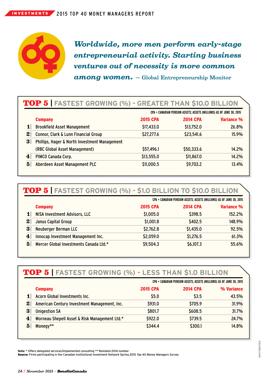

*Worldwide, more men perform early-stage entrepreneurial activity. Starting business ventures out of necessity is more common among women.* — Global Entrepreneurship Monitor

## TOP 5 **| FASTEST GROWING (%) - GREATER THAN \$10.0 BILLION**

|                |                                               | CPA = CANADIAN PENSION ASSETS; ASSETS (MILLIONS) AS OF JUNE 30, 2015 |                 |            |
|----------------|-----------------------------------------------|----------------------------------------------------------------------|-----------------|------------|
|                | <b>Company</b>                                | <b>2015 CPA</b>                                                      | <b>2014 CPA</b> | Variance % |
| $\mathbf{1}$   | <b>Brookfield Asset Management</b>            | \$17,433.0                                                           | \$13,752.0      | 26.8%      |
| 2              | Connor, Clark & Lunn Financial Group          | \$27,277.6                                                           | \$23,541.6      | 15.9%      |
| 3 <sup>1</sup> | Phillips, Hager & North Investment Management |                                                                      |                 |            |
|                | (RBC Global Asset Management)                 | \$57,496.1                                                           | \$50,333.6      | 14.2%      |
| 4              | PIMCO Canada Corp.                            | \$13,555.0                                                           | \$11,867.0      | 14.2%      |
| $\bf{5}$       | Aberdeen Asset Management PLC                 | \$11,000.5                                                           | \$9,703.2       | 13.4%      |
|                |                                               |                                                                      |                 |            |

#### TOP 5 **| FASTEST GROWING (%) - \$1.0 BILLION TO \$10.0 BILLION**

|                                                          |                 | CPA = CANADIAN PENSION ASSETS; ASSETS (MILLIONS) AS OF JUNE 30, 2015 |                   |  |
|----------------------------------------------------------|-----------------|----------------------------------------------------------------------|-------------------|--|
| <b>Company</b>                                           | <b>2015 CPA</b> | <b>2014 CPA</b>                                                      | <b>Variance %</b> |  |
| 1<br>NISA Investment Advisors, LLC                       | \$1,005.0       | \$398.5                                                              | 152.2%            |  |
| $\boldsymbol{2}$<br>Janus Capital Group                  | \$1,001.8       | \$402.5                                                              | 148.9%            |  |
| 3<br>Neuberger Berman LLC                                | \$2,762.8       | \$1,435.0                                                            | 92.5%             |  |
| Innocap Investment Management Inc.<br>4                  | \$2,059.0       | \$1,276.5                                                            | 61.3%             |  |
| 5 <sup>1</sup><br>Mercer Global Investments Canada Ltd.* | \$9,504.3       | \$6,107.3                                                            | 55.6%             |  |

### TOP 5 **| FASTEST GROWING (%) - LESS THAN \$1.0 BILLION**

|          |                                               | CPA = CANADIAN PENSION ASSETS; ASSETS (MILLIONS) AS OF JUNE 30, 2015 |                 |            |
|----------|-----------------------------------------------|----------------------------------------------------------------------|-----------------|------------|
|          | <b>Company</b>                                | <b>2015 CPA</b>                                                      | <b>2014 CPA</b> | % Variance |
|          | Acorn Global Investments Inc.                 | \$5.0                                                                | \$3.5           | 43.5%      |
| 2        | American Century Investment Management, Inc.  | \$931.0                                                              | \$705.9         | 31.9%      |
| 3        | <b>Unigestion SA</b>                          | \$801.7                                                              | \$608.5         | 31.7%      |
| 4        | Morneau Shepell Asset & Risk Management Ltd.* | \$922.0                                                              | \$739.5         | 24.7%      |
| $\bf{5}$ | Monegy**                                      | \$344.4                                                              | \$300.1         | 14.8%      |

**Note:** \* Offers delegated services/implemented consulting \*\* Restated 2014 number Source: Firms participating in the Canadian Institutional Investment Network Spring 2015 *Top 40 Money Managers Survey*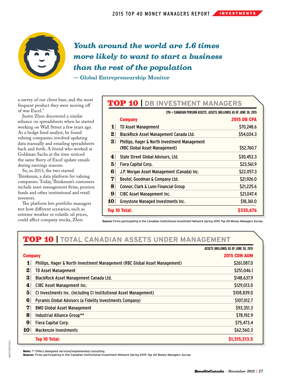

## *Youth around the world are 1.6 times more likely to want to start a business than the rest of the population*

— Global Entrepreneurship Monitor

a survey of our client base, and the most frequent product they were moving off of was Excel."

Justin Zhen discovered a similar reliance on spreadsheets when he started working on Wall Street a few years ago. As a hedge fund analyst, he found valuing companies involved updating data manually and emailing spreadsheets back and forth. A friend who worked at Goldman Sachs at the time noticed the same flurry of Excel update emails during earnings seasons.

So, in 2013, the two started Thinknum, a data platform for valuing companies. Today, Thinknum's customers include asset management firms, pension funds and other institutional and retail investors.

The platform lets portfolio managers test how different scenarios, such as extreme weather or volatile oil prices, could affect company stocks, Zhen

#### TOP 10 **| DB INVESTMENT MANAGERS**

|                | CPA = CANADIAN PENSION ASSETS; ASSETS (MILLIONS) AS OF JUNE 30, 2015                      |                    |
|----------------|-------------------------------------------------------------------------------------------|--------------------|
|                | <b>Company</b>                                                                            | <b>2015 DB CPA</b> |
| 1              | <b>TD Asset Management</b>                                                                | \$70,248.6         |
| 2              | BlackRock Asset Management Canada Ltd.                                                    | \$54,034.3         |
| 3              | <b>Phillips, Hager &amp; North Investment Management</b><br>(RBC Global Asset Management) | \$52,760.7         |
| 4 <sup>1</sup> | State Street Global Advisors, Ltd.                                                        | \$30,453.3         |
| 5 <sup>1</sup> | Fiera Capital Corp.                                                                       | \$23,561.9         |
| 6 <sup>1</sup> | J.P. Morgan Asset Management (Canada) Inc.                                                | \$22,057.3         |
| $\mathbf{v}$   | Beutel, Goodman & Company Ltd.                                                            | \$21,926.0         |
| 8              | Connor, Clark & Lunn Financial Group                                                      | \$21,225.6         |
| 9 <sup>1</sup> | CIBC Asset Management Inc.                                                                | \$21,047.4         |
| <b>10</b>      | Greystone Managed Investments Inc.                                                        | \$18,361.0         |
|                | Top 10 Total:                                                                             | \$335,676          |
|                |                                                                                           |                    |

**Source:** Firms participating in the Canadian Institutional Investment Network Spring 2015 *Top 40 Money Managers Survey*

## TOP 10 **| TOTAL CANADIAN ASSETS UNDER MANAGEMENT**

|                  |                                                                             | ASSETS (MILLIONS) AS OF JUNE 30, 2015 |
|------------------|-----------------------------------------------------------------------------|---------------------------------------|
| <b>Company</b>   |                                                                             | <b>2015 CDN AUM</b>                   |
| 1                | Phillips, Hager & North Investment Management (RBC Global Asset Management) | \$261,087.0                           |
| 2                | <b>TD Asset Management</b>                                                  | \$251,046.1                           |
| 3 <sup>2</sup>   | BlackRock Asset Management Canada Ltd.                                      | \$148,637.9                           |
| $\bf{4}$         | CIBC Asset Management Inc.                                                  | \$129,013.0                           |
| 5 <sup>5</sup>   | CI Investments Inc. (including CI Institutional Asset Management)           | \$108,839.0                           |
| 6 <sup>1</sup>   | Pyramis Global Advisors (a Fidelity Investments Company)                    | \$107,012.7                           |
| $\boldsymbol{7}$ | <b>BMO Global Asset Management</b>                                          | \$93,351.3                            |
| $\bf{8}$         | Industrial Alliance Group**                                                 | \$78,192.9                            |
| 9                | Fiera Capital Corp.                                                         | \$75,473.4                            |
| 10 <sup>1</sup>  | <b>Mackenzie Investments</b>                                                | \$62,560.3                            |
|                  | <b>Top 10 Total:</b>                                                        | \$1,315,213.5                         |

Note: \*\* Offers delegated services/implemented consulting

Source: Firms participating in the Canadian Institutional Investment Network Spring 2015 *Top 40 Money Managers Survey*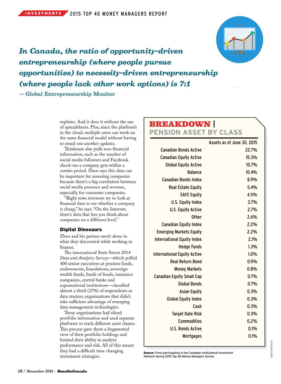

*In Canada, the ratio of opportunity-driven entrepreneurship (where people pursue opportunities) to necessity-driven entrepreneurship (where people lack other work options) is 7:1*

— Global Entrepreneurship Monitor

explains. And it does it without the use of spreadsheets. Plus, since the platform's in the cloud, multiple users can work on the same financial model without having to email one another updates.

Thinknum also pulls non-financial information, such as the number of social media followers and Facebook check-ins a company gets within a certain period. Zhen says this data can be important for assessing companies because there's a big correlation between social media presence and revenue, especially for consumer companies.

"Right now, investors try to look at financial data to see whether a company is cheap," he says. "On the Internet, there's data that lets you think about companies on a different level."

#### Digital Dinosaurs

Zhen and his partner aren't alone in what they discovered while working in finance.

The international State Street 2014 *Data and Analytics Survey*—which polled 400 senior executives at pension funds, endowments, foundations, sovereign wealth funds, funds of funds, insurance companies, central banks and supranational institutions—classified almost a third (27%) of respondents as data starters, organizations that didn't take sufficient advantage of emerging data management technologies.

These organizations had siloed portfolio information and used separate platforms to track different asset classes. This process gave them a fragmented view of their portfolio holdings and limited their ability to analyze performance and risk. All of this meant they had a difficult time changing investment strategies.

## BREAKDOWN **|**

**PENSION ASSET BY CLASS**

|                                    | Assets as of June 30, 2015 |
|------------------------------------|----------------------------|
| <b>Canadian Bonds Active</b>       | 22.7%                      |
| <b>Canadian Equity Active</b>      | 15.3%                      |
| <b>Global Equity Active</b>        | 10.7%                      |
| <b>Balance</b>                     | 10.4%                      |
| <b>Canadian Bonds Index</b>        | 8.9%                       |
| <b>Real Estate Equity</b>          | 5.4%                       |
| <b>EAFE Equity</b>                 | 4.5%                       |
| U.S. Equity Index                  | 3.7%                       |
| <b>U.S. Equity Active</b>          | 2.7%                       |
| <b>Other</b>                       | 2.6%                       |
| <b>Canadian Equity Index</b>       | 2.2%                       |
| <b>Emerging Markets Equity</b>     | 2.2%                       |
| <b>International Equity Index</b>  | 2.1%                       |
| <b>Hedge Funds</b>                 | 1.3%                       |
| <b>International Equity Active</b> | 1.0%                       |
| <b>Real Return Bond</b>            | 0.9%                       |
| <b>Money Markets</b>               | 0.8%                       |
| <b>Canadian Equity Small Cap</b>   | 0.7%                       |
| <b>Global Bonds</b>                | 0.7%                       |
| <b>Asian Equity</b>                | 0.3%                       |
| <b>Global Equity Index</b>         | 0.3%                       |
| Cash                               | 0.3%                       |
| <b>Target Date Risk</b>            | 0.3%                       |
| Commodities                        | 0.2%                       |
| U.S. Bonds Active                  | 0.1%                       |
| <b>Mortgages</b>                   | 0.1%                       |

Source: Firms participating in the Canadian Institutional Investment Network Spring 2015 *Top 40 Money Managers Survey*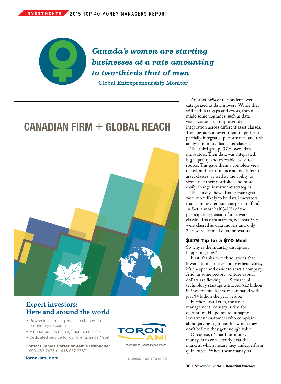

*Canada's women are starting businesses at a rate amounting to two-thirds that of men* — Global Entrepreneurship Monitor



#### **Expert investors: Here and around the world**

- Proven investment processes based on proprietary research
- Embedded risk management discipline
- Dedicated service for our clients since 1959

Contact James Porter or Jamie Brubacher 1.800.463.7475 or 416.977.6767

133-03-002\_ToronAMI Ad Sept 2015 BPM\_HALF\_FINAL\_pub.indd 1 2015-04-15 10:48 AM

toron-ami.com



© Copyright 2015 Toron AMI

Another 36% of respondents were categorized as data movers. While they still had data gaps and errors, they'd made some upgrades, such as data visualization and improved data integration across different asset classes. The upgrades allowed them to perform partially integrated performance and risk analysis in individual asset classes.

The third group (37%) were data innovators. Their data was integrated, high-quality and traceable-back-tosource. This gave them a complete view of risk and performance across different asset classes, as well as the ability to stress-test their portfolios and more easily change investment strategies.

The survey showed asset managers were more likely to be data innovators than asset owners such as pension funds. In fact, almost half (41%) of the participating pension funds were classified as data starters, whereas 38% were classed as data movers and only 22% were deemed data innovators.

#### \$379 Tip for a \$70 Meal

So why is the industry disruption happening now?

First, thanks to tech solutions that lower administrative and overhead costs, it's cheaper and easier to start a company. And, in some sectors, venture capital dollars are flowing—U.S. financial technology startups attracted \$12 billion in investments last year, compared with just \$4 billion the year before.

Further, says Teten, the asset management industry is ripe for disruption. He points to unhappy investment customers who complain about paying high fees for which they don't believe they get enough value.

Of course, it's hard for money managers to consistently beat the markets, which means they underperform quite often. When those managers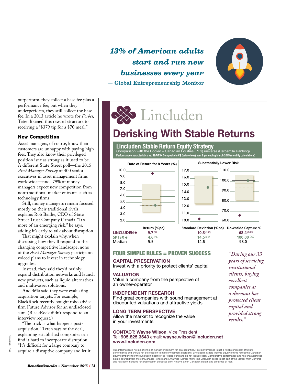outperform, they collect a base fee plus a performance fee; but when they underperform, they still collect the base fee. In a 2013 article he wrote for *Forbes,* Teten likened this reward structure to receiving a "\$379 tip for a \$70 meal."

#### New Competition

Asset managers, of course, know their customers are unhappy with paying high fees. They also know their privileged position isn't as strong as it used to be. A different State Street poll—the 2015 *Asset Manager Survey* of 400 senior executives in asset management firms worldwide—finds 79% of money managers expect new competition from non-traditional market entrants such as technology firms.

Still, money managers remain focused mostly on their traditional rivals, explains Rob Baillie, CEO of State Street Trust Company Canada. "It's more of an emerging risk," he says, adding it's early to talk about disruption.

That might explain why, when discussing how they'll respond to the changing competitive landscape, none of the *Asset Manager Survey* participants voiced plans to invest in technology upgrades.

Instead, they said they'd mainly expand distribution networks and launch new products, such as liquid alternatives and multi-asset solutions.

And 46% said they were evaluating acquisition targets. For example, BlackRock recently bought robo advice firm Future Advisor for an undisclosed sum. (BlackRock didn't respond to an interview request.)

"The trick is what happens postacquisition," Teten says of the deal, explaining established companies can find it hard to incorporate disruption. "It's difficult for a large company to acquire a disruptive company and let it

*13% of American adults start and run new businesses every year* — Global Entrepreneurship Monitor



*"During our 33 years of servicing institutional clients, buying excellent companies at a discount has protected client capital and provided strong* 

*results."*

# Lincluden

## **Derisking With Stable Returns**

## **Lincluden Stable Return Equity Strategy**<br>Comparison with the Pooled – Canadian Equities (PFS) univer<br>Performance characteristics vs. S&P/TSX Composite in C\$ (before fees) over 8 yrs endir

Comparison with the Pooled – Canadian Equities (PFS) universe (Percentile Ranking)<br>Performance characteristics vs. **S&P/TSX C**omposite in **C\$** (before fees) over 8 yrs ending March 2015 (monthly calculations)



#### FOUR SIMPLE RULES = PROVEN SUCCESS

#### **CAPITAL PRESERVATION**

Invest with a priority to protect clients' capital

#### VALUATION

Value a company from the perspective of an owner-operator

#### INDEPENDENT RESEARCH

Find great companies with sound management at discounted valuations and attractive yields

#### LONG TERM PERSPECTIVE

Allow the market to recognize the value in your investments

#### CONTACT: Wayne Wilson, Vice President Tel: 905.825.3543 email: wayne.wilson@lincluden.net www.lincluden.com

This information is not an offering of, nor advertisement for, any securities. Past performance is not a reliable indicator of future<br>performance and should not be relied on to make investment decisions. Lincluden's Stable data is sourced from Mercer Manager Performance Analytics (Mercer MPA). The Lincluden series is not part of the Mercer MPA Universe and has been included for presentation purposes only. Returns are in Canadian dollars and are gross of fees

SHUTTERSTOCK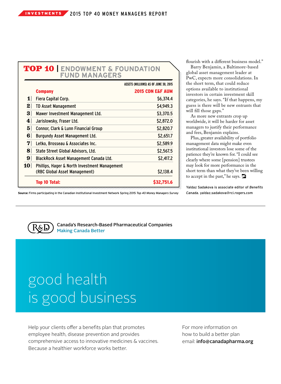## TOP 10 **<sup>|</sup> ENDOWMENT & FOUNDATION FUND MANAGERS**

|                 |                                               | ASSETS (MILLIONS) AS OF JUNE 30, 2015 |
|-----------------|-----------------------------------------------|---------------------------------------|
|                 | <b>Company</b>                                | <b>2015 CDN E&amp;F AUM</b>           |
| 1               | Fiera Capital Corp.                           | \$6,374.4                             |
| $\bf{2}$ $\mid$ | <b>TD Asset Management</b>                    | \$4,949.3                             |
| 3               | Mawer Investment Management Ltd.              | \$3,370.5                             |
| 4               | Jarislowsky, Fraser Ltd.                      | \$2,872.0                             |
| 5 <sup>1</sup>  | Connor, Clark & Lunn Financial Group          | \$2,820.7                             |
| 6               | Burgundy Asset Management Ltd.                | \$2,651.7                             |
| $\mathbf{v}$    | Letko, Brosseau & Associates Inc.             | \$2,589.9                             |
| 8               | State Street Global Advisors, Ltd.            | \$2,567.5                             |
| 9 <sup>1</sup>  | BlackRock Asset Management Canada Ltd.        | \$2,417.2                             |
| 10 <sup>1</sup> | Phillips, Hager & North Investment Management |                                       |
|                 | (RBC Global Asset Management)                 | \$2.138.4                             |
|                 | <b>Top 10 Total:</b>                          | <b>S32.751.6</b>                      |

flourish with a different business model."

Barry Benjamin, a Baltimore-based global asset management leader at PwC, expects more consolidations. In the short term, that could reduce options available to institutional investors in certain investment skill categories, he says. "If that happens, my guess is there will be new entrants that will fill those gaps."

As more new entrants crop up worldwide, it will be harder for asset managers to justify their performance and fees, Benjamin explains.

Plus, greater availability of portfolio management data might make even institutional investors lose some of the patience they're known for. "I could see clearly where some [pension] trustees may look for more performance in the short term than what they've been willing to accept in the past," he says.

Yaldaz Sadakova is associate editor of *Benefits Canada.* yaldaz.sadakova@rci.rogers.com

Source: Firms participating in the Canadian Institutional Investment Network Spring 2015 *Top 40 Money Managers Survey*<br>.



Canada's Research-Based Pharmaceutical Companies Making Canada Better

# good health is good business

Help your clients offer a benefits plan that promotes employee health, disease prevention and provides comprehensive access to innovative medicines & vaccines. Because a healthier workforce works better.

For more information on how to build a better plan email: info@canadapharma.org